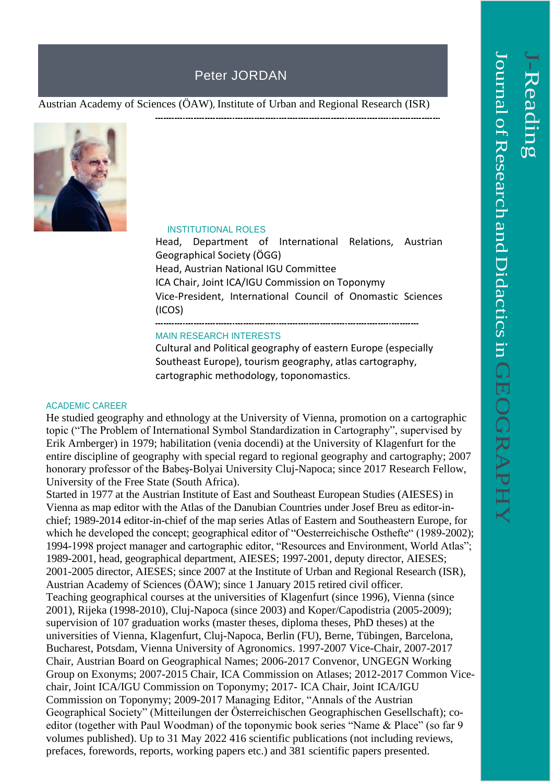# Peter JORDAN

Austrian Academy of Sciences (ÖAW), Institute of Urban and Regional Research (ISR)



#### INSTITUTIONAL ROLES

Head, Department of International Relations, Austrian Geographical Society (ÖGG) Head, Austrian National IGU Committee ICA Chair, Joint ICA/IGU Commission on Toponymy Vice-President, International Council of Onomastic Sciences (ICOS)

---------------------------------

#### MAIN RESEARCH INTERESTS

Cultural and Political geography of eastern Europe (especially Southeast Europe), tourism geography, atlas cartography, cartographic methodology, toponomastics.

#### ACADEMIC CAREER

He studied geography and ethnology at the University of Vienna, promotion on a cartographic topic ("The Problem of International Symbol Standardization in Cartography", supervised by Erik Arnberger) in 1979; habilitation (venia docendi) at the University of Klagenfurt for the entire discipline of geography with special regard to regional geography and cartography; 2007 honorary professor of the Babeş-Bolyai University Cluj-Napoca; since 2017 Research Fellow, University of the Free State (South Africa).

Started in 1977 at the Austrian Institute of East and Southeast European Studies (AIESES) in Vienna as map editor with the Atlas of the Danubian Countries under Josef Breu as editor-inchief; 1989-2014 editor-in-chief of the map series Atlas of Eastern and Southeastern Europe, for which he developed the concept; geographical editor of "Oesterreichische Osthefte" (1989-2002); 1994-1998 project manager and cartographic editor, "Resources and Environment, World Atlas"; 1989-2001, head, geographical department, AIESES; 1997-2001, deputy director, AIESES; 2001-2005 director, AIESES; since 2007 at the Institute of Urban and Regional Research (ISR), Austrian Academy of Sciences (ÖAW); since 1 January 2015 retired civil officer. Teaching geographical courses at the universities of Klagenfurt (since 1996), Vienna (since 2001), Rijeka (1998-2010), Cluj-Napoca (since 2003) and Koper/Capodistria (2005-2009); supervision of 107 graduation works (master theses, diploma theses, PhD theses) at the universities of Vienna, Klagenfurt, Cluj-Napoca, Berlin (FU), Berne, Tübingen, Barcelona, Bucharest, Potsdam, Vienna University of Agronomics. 1997-2007 Vice-Chair, 2007-2017 Chair, Austrian Board on Geographical Names; 2006-2017 Convenor, UNGEGN Working Group on Exonyms; 2007-2015 Chair, ICA Commission on Atlases; 2012-2017 Common Vicechair, Joint ICA/IGU Commission on Toponymy; 2017- ICA Chair, Joint ICA/IGU Commission on Toponymy; 2009-2017 Managing Editor, "Annals of the Austrian Geographical Society" (Mitteilungen der Österreichischen Geographischen Gesellschaft); coeditor (together with Paul Woodman) of the toponymic book series "Name & Place" (so far 9 volumes published). Up to 31 May 2022 416 scientific publications (not including reviews, prefaces, forewords, reports, working papers etc.) and 381 scientific papers presented.

 $\overline{\phantom{0}}$ 

-Reading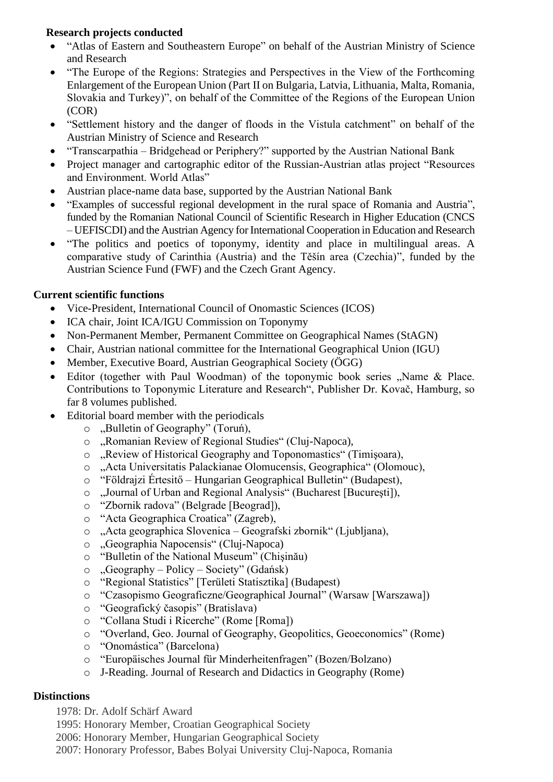### **Research projects conducted**

- "Atlas of Eastern and Southeastern Europe" on behalf of the Austrian Ministry of Science and Research
- "The Europe of the Regions: Strategies and Perspectives in the View of the Forthcoming Enlargement of the European Union (Part II on Bulgaria, Latvia, Lithuania, Malta, Romania, Slovakia and Turkey)", on behalf of the Committee of the Regions of the European Union (COR)
- "Settlement history and the danger of floods in the Vistula catchment" on behalf of the Austrian Ministry of Science and Research
- "Transcarpathia Bridgehead or Periphery?" supported by the Austrian National Bank
- Project manager and cartographic editor of the Russian-Austrian atlas project "Resources and Environment. World Atlas"
- Austrian place-name data base, supported by the Austrian National Bank
- "Examples of successful regional development in the rural space of Romania and Austria", funded by the Romanian National Council of Scientific Research in Higher Education (CNCS – UEFISCDI) and the Austrian Agency for International Cooperation in Education and Research
- "The politics and poetics of toponymy, identity and place in multilingual areas. A comparative study of Carinthia (Austria) and the Těšín area (Czechia)", funded by the Austrian Science Fund (FWF) and the Czech Grant Agency.

## **Current scientific functions**

- Vice-President, International Council of Onomastic Sciences (ICOS)
- ICA chair, Joint ICA/IGU Commission on Toponymy
- Non-Permanent Member, Permanent Committee on Geographical Names (StAGN)
- Chair, Austrian national committee for the International Geographical Union (IGU)
- Member, Executive Board, Austrian Geographical Society (ÖGG)
- Editor (together with Paul Woodman) of the toponymic book series "Name & Place. Contributions to Toponymic Literature and Research", Publisher Dr. Kovač, Hamburg, so far 8 volumes published.
- Editorial board member with the periodicals
	- o "Bulletin of Geography" (Toruń),
	- o "Romanian Review of Regional Studies" (Cluj-Napoca),
	- o "Review of Historical Geography and Toponomastics" (Timişoara),
	- o "Acta Universitatis Palackianae Olomucensis, Geographica" (Olomouc),
	- o "Földrajzi Értesitő Hungarian Geographical Bulletin" (Budapest),
	- o "Journal of Urban and Regional Analysis" (Bucharest [Bucureşti]),
	- o "Zbornik radova" (Belgrade [Beograd]),
	- o "Acta Geographica Croatica" (Zagreb),
	- o "Acta geographica Slovenica Geografski zbornik" (Ljubljana),
	- o "Geographia Napocensis" (Cluj-Napoca)
	- o "Bulletin of the National Museum" (Chişinău)
	- $\circ$ , Geography Policy Society" (Gdańsk)
	- o "Regional Statistics" [Területi Statisztika] (Budapest)
	- o "Czasopismo Geograficzne/Geographical Journal" (Warsaw [Warszawa])
	- o "Geografický časopis" (Bratislava)
	- o "Collana Studi i Ricerche" (Rome [Roma])
	- o "Overland, Geo. Journal of Geography, Geopolitics, Geoeconomics" (Rome)
	- o "Onomástica" (Barcelona)
	- o "Europäisches Journal für Minderheitenfragen" (Bozen/Bolzano)
	- o J-Reading. Journal of Research and Didactics in Geography (Rome)

### **Distinctions**

- 1978: Dr. Adolf Schärf Award
- 1995: Honorary Member, Croatian Geographical Society
- 2006: Honorary Member, Hungarian Geographical Society
- 2007: Honorary Professor, Babes Bolyai University Cluj-Napoca, Romania